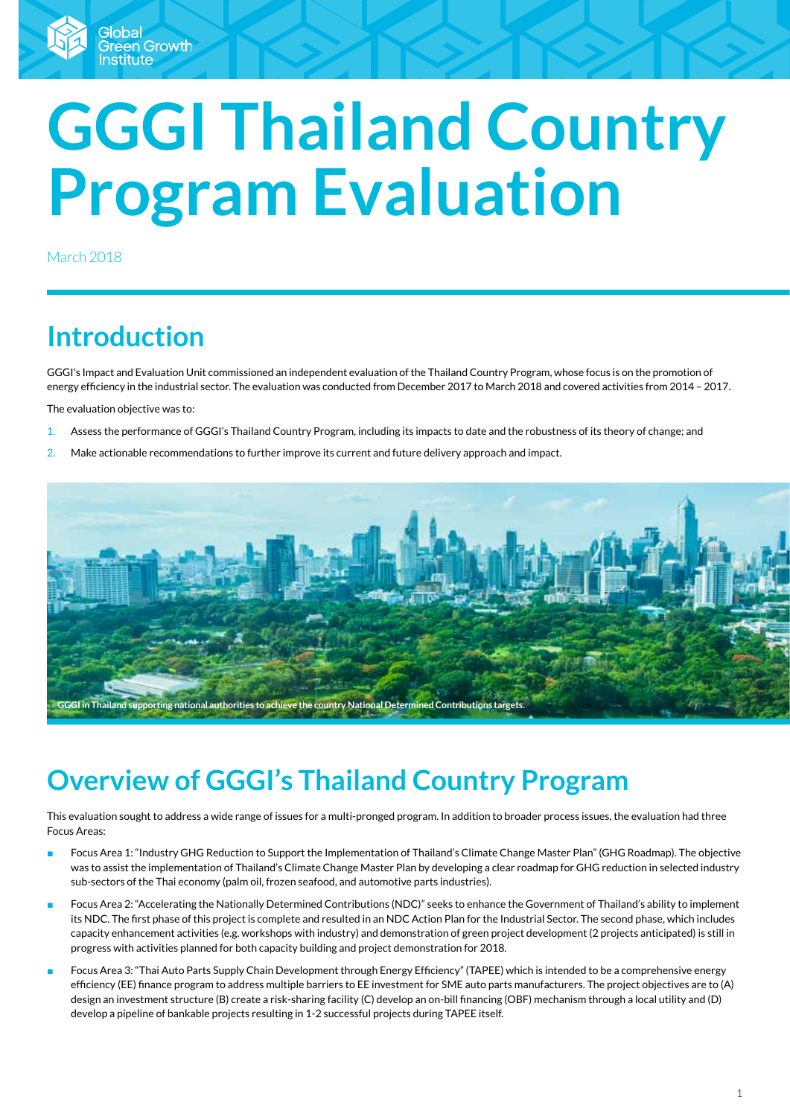# **GGGI Thailand Country Program Evaluation**

March 2018

# **Introduction**

GGGI's Impact and Evaluation Unit commissioned an independent evaluation of the Thailand Country Program, whose focus is on the promotion of energy efficiency in the industrial sector. The evaluation was conducted from December 2017 to March 2018 and covered activities from 2014 – 2017.

The evaluation objective was to:

- 1. Assess the performance of GGGI's Thailand Country Program, including its impacts to date and the robustness of its theory of change; and
- 2. Make actionable recommendations to further improve its current and future delivery approach and impact.



# **Overview of GGGI's Thailand Country Program**

This evaluation sought to address a wide range of issues for a multi-pronged program. In addition to broader process issues, the evaluation had three Focus Areas:

- Focus Area 1: "Industry GHG Reduction to Support the Implementation of Thailand's Climate Change Master Plan" (GHG Roadmap). The objective was to assist the implementation of Thailand's Climate Change Master Plan by developing a clear roadmap for GHG reduction in selected industry sub-sectors of the Thai economy (palm oil, frozen seafood, and automotive parts industries).
- Focus Area 2: "Accelerating the Nationally Determined Contributions (NDC)" seeks to enhance the Government of Thailand's ability to implement its NDC. The first phase of this project is complete and resulted in an NDC Action Plan for the Industrial Sector. The second phase, which includes capacity enhancement activities (e.g. workshops with industry) and demonstration of green project development (2 projects anticipated) is still in progress with activities planned for both capacity building and project demonstration for 2018.
- Focus Area 3: "Thai Auto Parts Supply Chain Development through Energy Efficiency" (TAPEE) which is intended to be a comprehensive energy efficiency (EE) finance program to address multiple barriers to EE investment for SME auto parts manufacturers. The project objectives are to (A) design an investment structure (B) create a risk-sharing facility (C) develop an on-bill financing (OBF) mechanism through a local utility and (D) develop a pipeline of bankable projects resulting in 1-2 successful projects during TAPEE itself.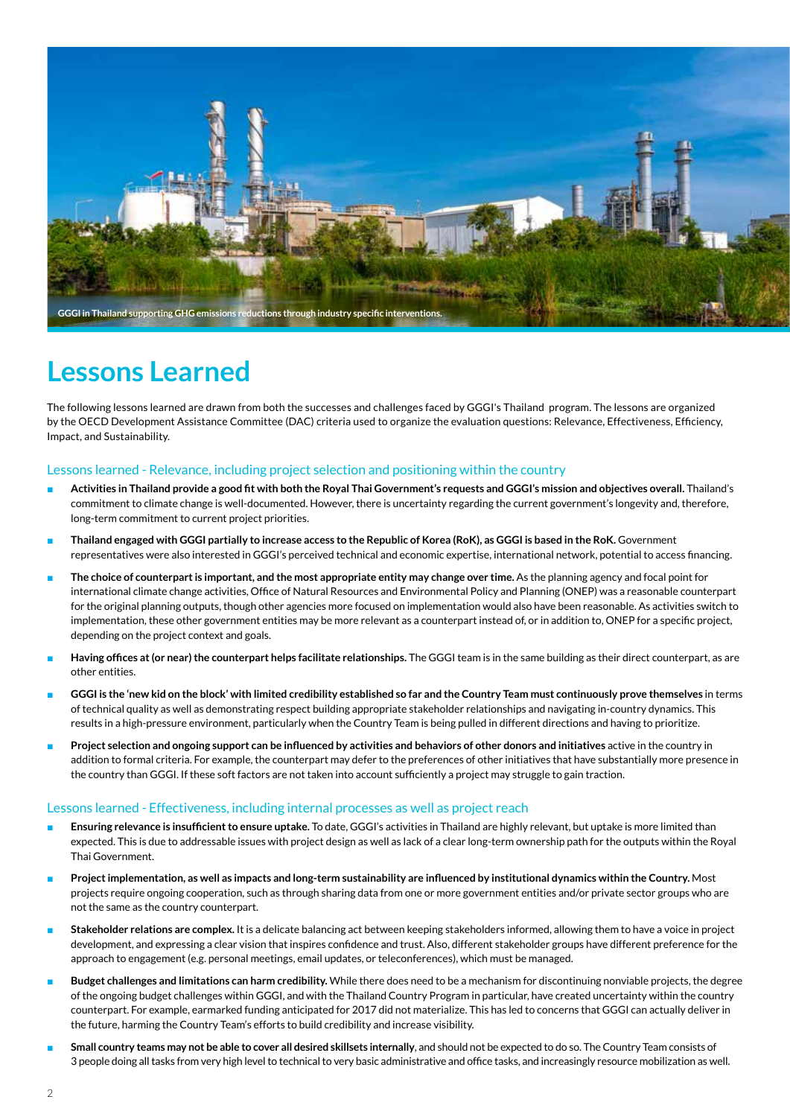

## **Lessons Learned**

The following lessons learned are drawn from both the successes and challenges faced by GGGI's Thailand program. The lessons are organized by the OECD Development Assistance Committee (DAC) criteria used to organize the evaluation questions: Relevance, Effectiveness, Efficiency, Impact, and Sustainability.

### Lessons learned - Relevance, including project selection and positioning within the country

- **Activities in Thailand provide a good fit with both the Royal Thai Government's requests and GGGI's mission and objectives overall.** Thailand's commitment to climate change is well-documented. However, there is uncertainty regarding the current government's longevity and, therefore, long-term commitment to current project priorities.
- Thailand engaged with GGGI partially to increase access to the Republic of Korea (RoK), as GGGI is based in the RoK. Government representatives were also interested in GGGI's perceived technical and economic expertise, international network, potential to access financing.
- The choice of counterpart is important, and the most appropriate entity may change over time. As the planning agency and focal point for international climate change activities, Office of Natural Resources and Environmental Policy and Planning (ONEP) was a reasonable counterpart for the original planning outputs, though other agencies more focused on implementation would also have been reasonable. As activities switch to implementation, these other government entities may be more relevant as a counterpart instead of, or in addition to, ONEP for a specific project, depending on the project context and goals.
- Having offices at (or near) the counterpart helps facilitate relationships. The GGGI team is in the same building as their direct counterpart, as are other entities.
- GGGI is the 'new kid on the block' with limited credibility established so far and the Country Team must continuously prove themselves in terms of technical quality as well as demonstrating respect building appropriate stakeholder relationships and navigating in-country dynamics. This results in a high-pressure environment, particularly when the Country Team is being pulled in different directions and having to prioritize.
- **Project selection and ongoing support can be influenced by activities and behaviors of other donors and initiatives** active in the country in addition to formal criteria. For example, the counterpart may defer to the preferences of other initiatives that have substantially more presence in the country than GGGI. If these soft factors are not taken into account sufficiently a project may struggle to gain traction.

### Lessons learned - Effectiveness, including internal processes as well as project reach

- **Ensuring relevance is insufficient to ensure uptake.** To date, GGGI's activities in Thailand are highly relevant, but uptake is more limited than expected. This is due to addressable issues with project design as well as lack of a clear long-term ownership path for the outputs within the Royal Thai Government.
- Project implementation, as well as impacts and long-term sustainability are influenced by institutional dynamics within the Country. Most projects require ongoing cooperation, such as through sharing data from one or more government entities and/or private sector groups who are not the same as the country counterpart.
- Stakeholder relations are complex. It is a delicate balancing act between keeping stakeholders informed, allowing them to have a voice in project development, and expressing a clear vision that inspires confidence and trust. Also, different stakeholder groups have different preference for the approach to engagement (e.g. personal meetings, email updates, or teleconferences), which must be managed.
- Budget challenges and limitations can harm credibility. While there does need to be a mechanism for discontinuing nonviable projects, the degree of the ongoing budget challenges within GGGI, and with the Thailand Country Program in particular, have created uncertainty within the country counterpart. For example, earmarked funding anticipated for 2017 did not materialize. This has led to concerns that GGGI can actually deliver in the future, harming the Country Team's efforts to build credibility and increase visibility.
- **Small country teams may not be able to cover all desired skillsets internally**, and should not be expected to do so. The Country Team consists of 3 people doing all tasks from very high level to technical to very basic administrative and office tasks, and increasingly resource mobilization as well.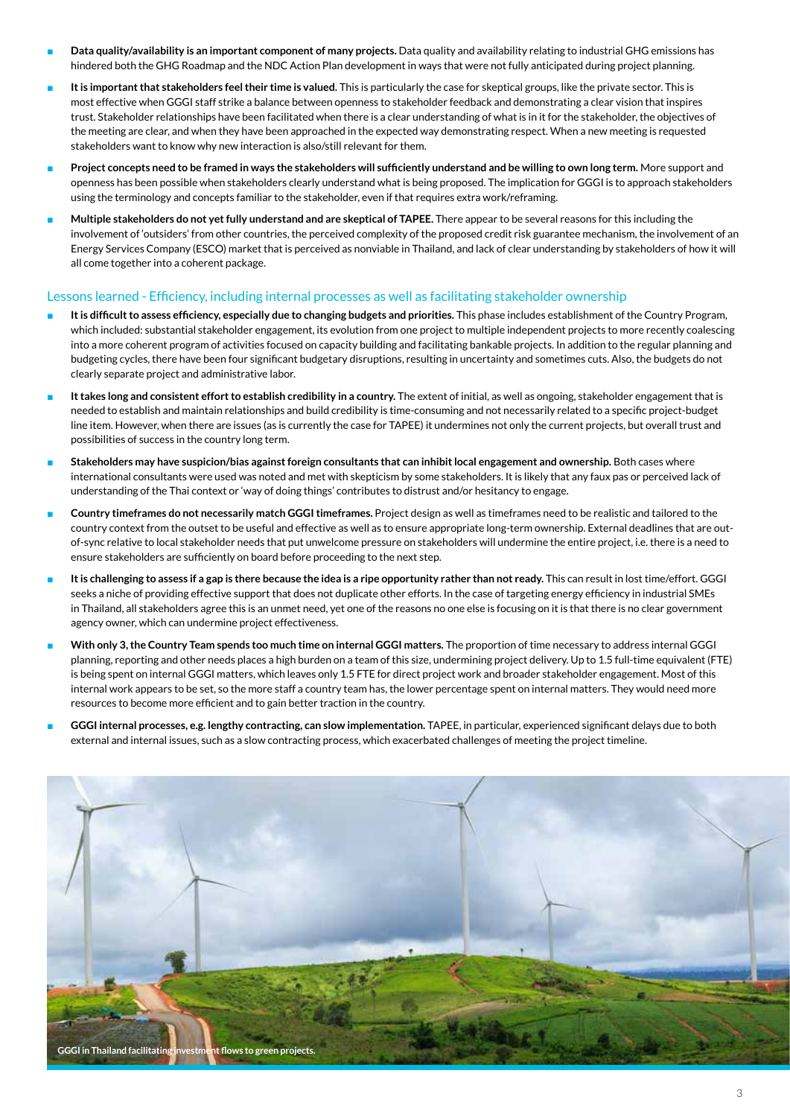- Data quality/availability is an important component of many projects. Data quality and availability relating to industrial GHG emissions has hindered both the GHG Roadmap and the NDC Action Plan development in ways that were not fully anticipated during project planning.
- It is important that stakeholders feel their time is valued. This is particularly the case for skeptical groups, like the private sector. This is most effective when GGGI staff strike a balance between openness to stakeholder feedback and demonstrating a clear vision that inspires trust. Stakeholder relationships have been facilitated when there is a clear understanding of what is in it for the stakeholder, the objectives of the meeting are clear, and when they have been approached in the expected way demonstrating respect. When a new meeting is requested stakeholders want to know why new interaction is also/still relevant for them.
- **Project concepts need to be framed in ways the stakeholders will sufficiently understand and be willing to own long term.** More support and openness has been possible when stakeholders clearly understand what is being proposed. The implication for GGGI is to approach stakeholders using the terminology and concepts familiar to the stakeholder, even if that requires extra work/reframing.
- Multiple stakeholders do not yet fully understand and are skeptical of TAPEE. There appear to be several reasons for this including the involvement of 'outsiders' from other countries, the perceived complexity of the proposed credit risk guarantee mechanism, the involvement of an Energy Services Company (ESCO) market that is perceived as nonviable in Thailand, and lack of clear understanding by stakeholders of how it will all come together into a coherent package.

### Lessons learned - Efficiency, including internal processes as well as facilitating stakeholder ownership

- It is difficult to assess efficiency, especially due to changing budgets and priorities. This phase includes establishment of the Country Program, which included: substantial stakeholder engagement, its evolution from one project to multiple independent projects to more recently coalescing into a more coherent program of activities focused on capacity building and facilitating bankable projects. In addition to the regular planning and budgeting cycles, there have been four significant budgetary disruptions, resulting in uncertainty and sometimes cuts. Also, the budgets do not clearly separate project and administrative labor.
- It takes long and consistent effort to establish credibility in a country. The extent of initial, as well as ongoing, stakeholder engagement that is needed to establish and maintain relationships and build credibility is time-consuming and not necessarily related to a specific project-budget line item. However, when there are issues (as is currently the case for TAPEE) it undermines not only the current projects, but overall trust and possibilities of success in the country long term.
- Stakeholders may have suspicion/bias against foreign consultants that can inhibit local engagement and ownership. Both cases where international consultants were used was noted and met with skepticism by some stakeholders. It is likely that any faux pas or perceived lack of understanding of the Thai context or 'way of doing things' contributes to distrust and/or hesitancy to engage.
- **Country timeframes do not necessarily match GGGI timeframes.** Project design as well as timeframes need to be realistic and tailored to the country context from the outset to be useful and effective as well as to ensure appropriate long-term ownership. External deadlines that are outof-sync relative to local stakeholder needs that put unwelcome pressure on stakeholders will undermine the entire project, i.e. there is a need to ensure stakeholders are sufficiently on board before proceeding to the next step.
- It is challenging to assess if a gap is there because the idea is a ripe opportunity rather than not ready. This can result in lost time/effort. GGGI seeks a niche of providing effective support that does not duplicate other efforts. In the case of targeting energy efficiency in industrial SMEs in Thailand, all stakeholders agree this is an unmet need, yet one of the reasons no one else is focusing on it is that there is no clear government agency owner, which can undermine project effectiveness.
- With only 3, the Country Team spends too much time on internal GGGI matters. The proportion of time necessary to address internal GGGI planning, reporting and other needs places a high burden on a team of this size, undermining project delivery. Up to 1.5 full-time equivalent (FTE) is being spent on internal GGGI matters, which leaves only 1.5 FTE for direct project work and broader stakeholder engagement. Most of this internal work appears to be set, so the more staff a country team has, the lower percentage spent on internal matters. They would need more resources to become more efficient and to gain better traction in the country.
- GGGI internal processes, e.g. lengthy contracting, can slow implementation. TAPEE, in particular, experienced significant delays due to both external and internal issues, such as a slow contracting process, which exacerbated challenges of meeting the project timeline.

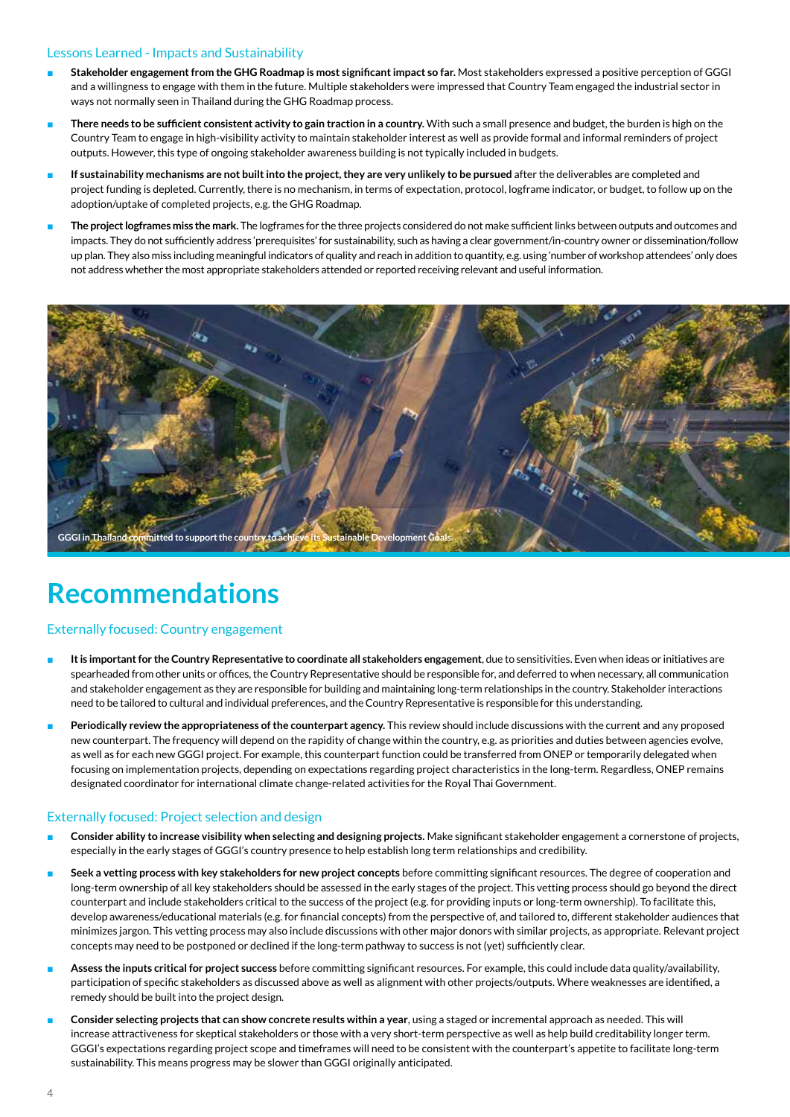### Lessons Learned - Impacts and Sustainability

- **Stakeholder engagement from the GHG Roadmap is most significant impact so far.** Most stakeholders expressed a positive perception of GGGI and a willingness to engage with them in the future. Multiple stakeholders were impressed that Country Team engaged the industrial sector in ways not normally seen in Thailand during the GHG Roadmap process.
- There needs to be sufficient consistent activity to gain traction in a country. With such a small presence and budget, the burden is high on the Country Team to engage in high-visibility activity to maintain stakeholder interest as well as provide formal and informal reminders of project outputs. However, this type of ongoing stakeholder awareness building is not typically included in budgets.
- If sustainability mechanisms are not built into the project, they are very unlikely to be pursued after the deliverables are completed and project funding is depleted. Currently, there is no mechanism, in terms of expectation, protocol, logframe indicator, or budget, to follow up on the adoption/uptake of completed projects, e.g. the GHG Roadmap.
- The project logframes miss the mark. The logframes for the three projects considered do not make sufficient links between outputs and outcomes and impacts. They do not sufficiently address 'prerequisites' for sustainability, such as having a clear government/in-country owner or dissemination/follow up plan. They also miss including meaningful indicators of quality and reach in addition to quantity, e.g. using 'number of workshop attendees' only does not address whether the most appropriate stakeholders attended or reported receiving relevant and useful information.



### **Recommendations**

### Externally focused: Country engagement

- It is important for the Country Representative to coordinate all stakeholders engagement, due to sensitivities. Even when ideas or initiatives are spearheaded from other units or offices, the Country Representative should be responsible for, and deferred to when necessary, all communication and stakeholder engagement as they are responsible for building and maintaining long-term relationships in the country. Stakeholder interactions need to be tailored to cultural and individual preferences, and the Country Representative is responsible for this understanding.
- Periodically review the appropriateness of the counterpart agency. This review should include discussions with the current and any proposed new counterpart. The frequency will depend on the rapidity of change within the country, e.g. as priorities and duties between agencies evolve, as well as for each new GGGI project. For example, this counterpart function could be transferred from ONEP or temporarily delegated when focusing on implementation projects, depending on expectations regarding project characteristics in the long-term. Regardless, ONEP remains designated coordinator for international climate change-related activities for the Royal Thai Government.

### Externally focused: Project selection and design

- Consider ability to increase visibility when selecting and designing projects. Make significant stakeholder engagement a cornerstone of projects, especially in the early stages of GGGI's country presence to help establish long term relationships and credibility.
- Seek a vetting process with key stakeholders for new project concepts before committing significant resources. The degree of cooperation and long-term ownership of all key stakeholders should be assessed in the early stages of the project. This vetting process should go beyond the direct counterpart and include stakeholders critical to the success of the project (e.g. for providing inputs or long-term ownership). To facilitate this, develop awareness/educational materials (e.g. for financial concepts) from the perspective of, and tailored to, different stakeholder audiences that minimizes jargon. This vetting process may also include discussions with other major donors with similar projects, as appropriate. Relevant project concepts may need to be postponed or declined if the long-term pathway to success is not (yet) sufficiently clear.
- Assess the inputs critical for project success before committing significant resources. For example, this could include data quality/availability, participation of specific stakeholders as discussed above as well as alignment with other projects/outputs. Where weaknesses are identified, a remedy should be built into the project design.
- Consider selecting projects that can show concrete results within a year, using a staged or incremental approach as needed. This will increase attractiveness for skeptical stakeholders or those with a very short-term perspective as well as help build creditability longer term. GGGI's expectations regarding project scope and timeframes will need to be consistent with the counterpart's appetite to facilitate long-term sustainability. This means progress may be slower than GGGI originally anticipated.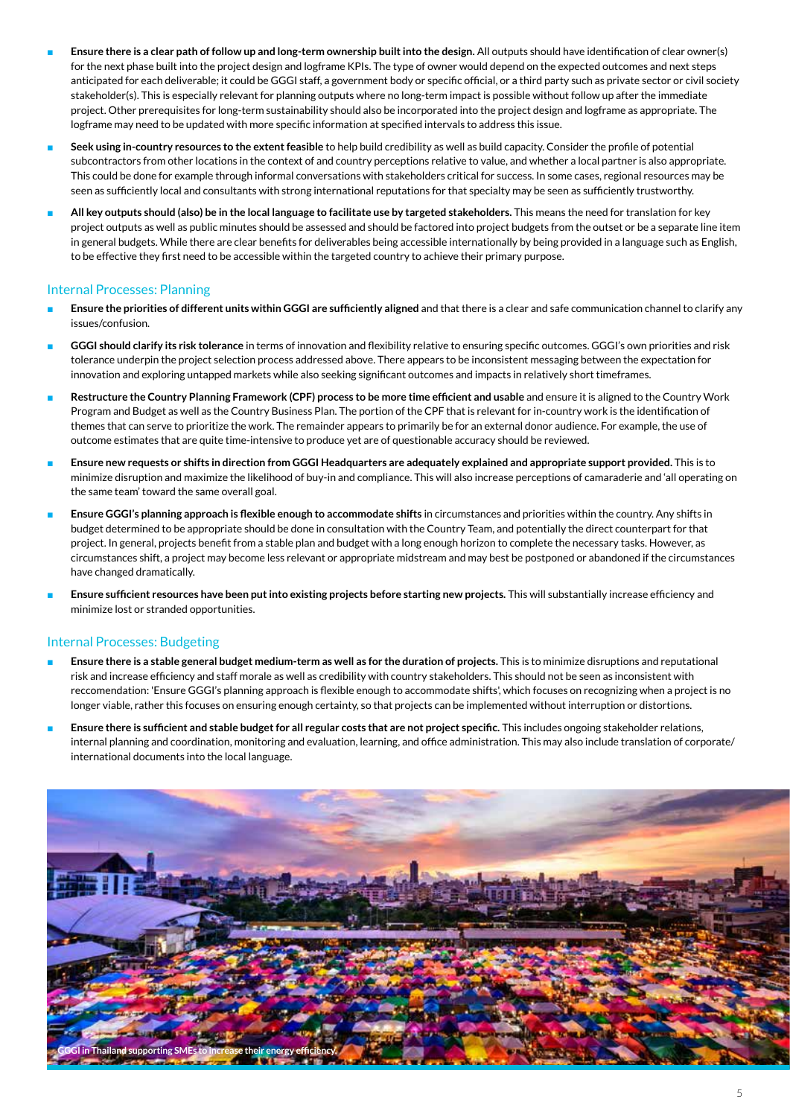- Ensure there is a clear path of follow up and long-term ownership built into the design. All outputs should have identification of clear owner(s) for the next phase built into the project design and logframe KPIs. The type of owner would depend on the expected outcomes and next steps anticipated for each deliverable; it could be GGGI staff, a government body or specific official, or a third party such as private sector or civil society stakeholder(s). This is especially relevant for planning outputs where no long-term impact is possible without follow up after the immediate project. Other prerequisites for long-term sustainability should also be incorporated into the project design and logframe as appropriate. The logframe may need to be updated with more specific information at specified intervals to address this issue.
- **Seek using in-country resources to the extent feasible** to help build credibility as well as build capacity. Consider the profile of potential subcontractors from other locations in the context of and country perceptions relative to value, and whether a local partner is also appropriate. This could be done for example through informal conversations with stakeholders critical for success. In some cases, regional resources may be seen as sufficiently local and consultants with strong international reputations for that specialty may be seen as sufficiently trustworthy.
- **All key outputs should (also) be in the local language to facilitate use by targeted stakeholders.** This means the need for translation for key project outputs as well as public minutes should be assessed and should be factored into project budgets from the outset or be a separate line item in general budgets. While there are clear benefits for deliverables being accessible internationally by being provided in a language such as English, to be effective they first need to be accessible within the targeted country to achieve their primary purpose.

### Internal Processes: Planning

- Ensure the priorities of different units within GGGI are sufficiently aligned and that there is a clear and safe communication channel to clarify any issues/confusion.
- **GGGI should clarify its risk tolerance** in terms of innovation and flexibility relative to ensuring specific outcomes. GGGI's own priorities and risk tolerance underpin the project selection process addressed above. There appears to be inconsistent messaging between the expectation for innovation and exploring untapped markets while also seeking significant outcomes and impacts in relatively short timeframes.
- Restructure the Country Planning Framework (CPF) process to be more time efficient and usable and ensure it is aligned to the Country Work Program and Budget as well as the Country Business Plan. The portion of the CPF that is relevant for in-country work is the identification of themes that can serve to prioritize the work. The remainder appears to primarily be for an external donor audience. For example, the use of outcome estimates that are quite time-intensive to produce yet are of questionable accuracy should be reviewed.
- Ensure new requests or shifts in direction from GGGI Headquarters are adequately explained and appropriate support provided. This is to minimize disruption and maximize the likelihood of buy-in and compliance. This will also increase perceptions of camaraderie and 'all operating on the same team' toward the same overall goal.
- **Ensure GGGI's planning approach is flexible enough to accommodate shifts** in circumstances and priorities within the country. Any shifts in budget determined to be appropriate should be done in consultation with the Country Team, and potentially the direct counterpart for that project. In general, projects benefit from a stable plan and budget with a long enough horizon to complete the necessary tasks. However, as circumstances shift, a project may become less relevant or appropriate midstream and may best be postponed or abandoned if the circumstances have changed dramatically.
- **Ensure sufficient resources have been put into existing projects before starting new projects.** This will substantially increase efficiency and minimize lost or stranded opportunities.

### Internal Processes: Budgeting

- Ensure there is a stable general budget medium-term as well as for the duration of projects. This is to minimize disruptions and reputational risk and increase efficiency and staff morale as well as credibility with country stakeholders. This should not be seen as inconsistent with reccomendation: 'Ensure GGGI's planning approach is flexible enough to accommodate shifts', which focuses on recognizing when a project is no longer viable, rather this focuses on ensuring enough certainty, so that projects can be implemented without interruption or distortions.
- Ensure there is sufficient and stable budget for all regular costs that are not project specific. This includes ongoing stakeholder relations, internal planning and coordination, monitoring and evaluation, learning, and office administration. This may also include translation of corporate/ international documents into the local language.